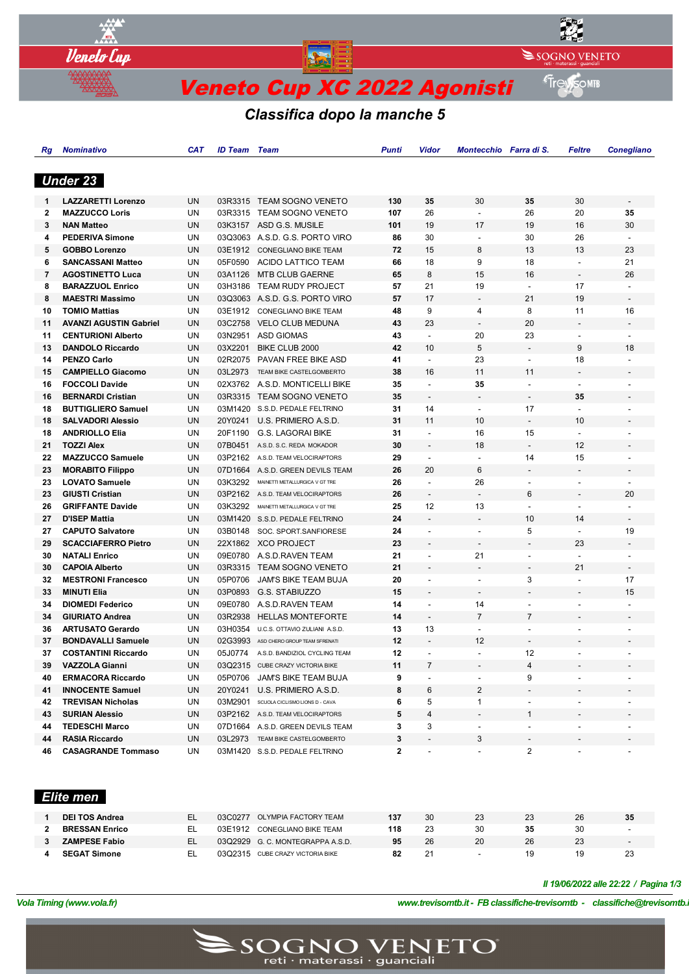

*Classifica dopo la manche 5*

| Rg | <b>Nominativo</b>             | CAT       | <b>ID Team</b> | <b>Team</b>                            | Punti        | Vidor                           | Montecchio Farra di S.   |                          | Feltre                   | <b>Conegliano</b>        |
|----|-------------------------------|-----------|----------------|----------------------------------------|--------------|---------------------------------|--------------------------|--------------------------|--------------------------|--------------------------|
|    |                               |           |                |                                        |              |                                 |                          |                          |                          |                          |
|    | <b>Under 23</b>               |           |                |                                        |              |                                 |                          |                          |                          |                          |
|    |                               |           |                |                                        |              |                                 |                          |                          |                          |                          |
| 1  | <b>LAZZARETTI Lorenzo</b>     | UN        | 03R3315        | <b>TEAM SOGNO VENETO</b>               | 130          | 35                              | 30                       | 35                       | 30                       | $\overline{\phantom{a}}$ |
| 2  | <b>MAZZUCCO Loris</b>         | UN        | 03R3315        | TEAM SOGNO VENETO                      | 107          | 26                              | $\blacksquare$           | 26                       | 20                       | 35                       |
| 3  | <b>NAN Matteo</b>             | <b>UN</b> | 03K3157        | ASD G.S. MUSILE                        | 101          | 19                              | 17                       | 19                       | 16                       | 30                       |
| 4  | <b>PEDERIVA Simone</b>        | UN        | 03Q3063        | A.S.D. G.S. PORTO VIRO                 | 86           | 30                              | $\overline{\phantom{a}}$ | 30                       | 26                       |                          |
| 5  | <b>GOBBO Lorenzo</b>          | UN        | 03E1912        | <b>CONEGLIANO BIKE TEAM</b>            | 72           | 15                              | 8                        | 13                       | 13                       | 23                       |
| 6  | <b>SANCASSANI Matteo</b>      | UN        | 05F0590        | ACIDO LATTICO TEAM                     | 66           | 18                              | 9                        | 18                       | $\overline{\phantom{a}}$ | 21                       |
| 7  | <b>AGOSTINETTO Luca</b>       | UN        | 03A1126        | <b>MTB CLUB GAERNE</b>                 | 65           | 8                               | 15                       | 16                       | $\overline{\phantom{a}}$ | 26                       |
| 8  | <b>BARAZZUOL Enrico</b>       | UN        | 03H3186        | TEAM RUDY PROJECT                      | 57           | 21                              | 19                       | $\blacksquare$           | 17                       | $\blacksquare$           |
| 8  | <b>MAESTRI Massimo</b>        | UN        | 03Q3063        | A.S.D. G.S. PORTO VIRO                 | 57           | 17                              | $\overline{\phantom{a}}$ | 21                       | 19                       | $\overline{\phantom{a}}$ |
| 10 | <b>TOMIO Mattias</b>          | UN        |                | 03E1912 CONEGLIANO BIKE TEAM           | 48           | 9                               | 4                        | 8                        | 11                       | 16                       |
| 11 | <b>AVANZI AGUSTIN Gabriel</b> | UN        | 03C2758        | <b>VELO CLUB MEDUNA</b>                | 43           | 23                              | $\overline{\phantom{a}}$ | 20                       | $\overline{\phantom{m}}$ | $\overline{\phantom{a}}$ |
| 11 | <b>CENTURIONI Alberto</b>     | UN        | 03N2951        | ASD GIOMAS                             | 43           | $\overline{\phantom{a}}$        | 20                       | 23                       | $\overline{\phantom{a}}$ |                          |
| 13 | <b>DANDOLO Riccardo</b>       | UN        | 03X2201        | BIKE CLUB 2000                         | 42           | 10                              | 5                        | $\blacksquare$           | 9                        | 18                       |
| 14 | <b>PENZO Carlo</b>            | UN        | 02R2075        | PAVAN FREE BIKE ASD                    | 41           | $\blacksquare$                  | 23                       | $\overline{\phantom{a}}$ | 18                       |                          |
| 15 | <b>CAMPIELLO Giacomo</b>      | UN        | 03L2973        | TEAM BIKE CASTELGOMBERTO               | 38           | 16                              | 11                       | 11                       | $\overline{\phantom{m}}$ | -                        |
| 16 | <b>FOCCOLI Davide</b>         | UN        | 02X3762        | A.S.D. MONTICELLI BIKE                 | 35           | $\blacksquare$                  | 35                       | $\blacksquare$           | $\overline{a}$           |                          |
| 16 | <b>BERNARDI Cristian</b>      | <b>UN</b> | 03R3315        | <b>TEAM SOGNO VENETO</b>               | 35           | $\overline{a}$                  | $\overline{\phantom{a}}$ | $\overline{\phantom{a}}$ | 35                       |                          |
| 18 | <b>BUTTIGLIERO Samuel</b>     | UN        | 03M1420        | S.S.D. PEDALE FELTRINO                 | 31           | 14                              | $\blacksquare$           | 17                       | $\blacksquare$           | $\overline{a}$           |
| 18 | <b>SALVADORI Alessio</b>      | UN        | 20Y0241        | U.S. PRIMIERO A.S.D.                   | 31           | 11                              | 10                       | $\blacksquare$           | 10                       |                          |
| 18 | <b>ANDRIOLLO Elia</b>         | UN        | 20F1190        | <b>G.S. LAGORAI BIKE</b>               | 31           | $\overline{a}$                  | 16                       | 15                       | $\overline{a}$           |                          |
| 21 | <b>TOZZI Alex</b>             | <b>UN</b> | 07B0451        | A.S.D. S.C. REDA MOKADOR               | 30           | $\overline{\phantom{a}}$        | 18                       |                          | 12                       | $\overline{\phantom{0}}$ |
| 22 | <b>MAZZUCCO Samuele</b>       | UN        | 03P2162        | A.S.D. TEAM VELOCIRAPTORS              | 29           | $\overline{\phantom{a}}$        | $\overline{\phantom{a}}$ | 14                       | 15                       |                          |
| 23 | <b>MORABITO Filippo</b>       | UN        | 07D1664        | A.S.D. GREEN DEVILS TEAM               | 26           | 20                              | 6                        | $\overline{\phantom{a}}$ | $\overline{\phantom{m}}$ | $\overline{\phantom{a}}$ |
| 23 | <b>LOVATO Samuele</b>         | UN        | 03K3292        | MAINETTI METALLURGICA V GT TRE         | 26           | $\blacksquare$                  | 26                       | $\overline{\phantom{a}}$ | $\overline{\phantom{a}}$ |                          |
| 23 | <b>GIUSTI Cristian</b>        | <b>UN</b> | 03P2162        | A.S.D. TEAM VELOCIRAPTORS              | 26           | $\blacksquare$                  | $\overline{a}$           | 6                        | $\overline{\phantom{a}}$ | 20                       |
| 26 | <b>GRIFFANTE Davide</b>       | UN        | 03K3292        | MAINETTI METALLURGICA V GT TRE         | 25           | 12                              | 13                       | $\overline{\phantom{a}}$ | $\blacksquare$           | $\blacksquare$           |
| 27 | <b>D'ISEP Mattia</b>          | UN        | 03M1420        | S.S.D. PEDALE FELTRINO                 | 24           | $\qquad \qquad \blacksquare$    | $\overline{\phantom{a}}$ | 10                       | 14                       |                          |
| 27 | <b>CAPUTO Salvatore</b>       | UN        | 03B0148        | SOC. SPORT.SANFIORESE                  | 24           | $\overline{\phantom{m}}$        | $\overline{\phantom{a}}$ | 5                        | $\overline{\phantom{a}}$ | 19                       |
| 29 | <b>SCACCIAFERRO Pietro</b>    | <b>UN</b> |                | 22X1862 XCO PROJECT                    | 23           | $\overline{a}$                  |                          |                          | 23                       |                          |
| 30 | <b>NATALI Enrico</b>          | UN        | 09E0780        | A.S.D.RAVEN TEAM                       | 21           | $\overline{a}$                  | 21                       | $\blacksquare$           |                          |                          |
| 30 | <b>CAPOIA Alberto</b>         | UN        |                | 03R3315 TEAM SOGNO VENETO              | 21           | $\centering \label{eq:reduced}$ | $\overline{\phantom{a}}$ | $\overline{a}$           | 21                       | $\overline{\phantom{a}}$ |
| 32 | <b>MESTRONI Francesco</b>     | UN        | 05P0706        | JAM'S BIKE TEAM BUJA                   | 20           | $\overline{\phantom{m}}$        | $\blacksquare$           | 3                        | $\blacksquare$           | 17                       |
| 33 | <b>MINUTI Elia</b>            | UN        | 03P0893        | G.S. STABIUZZO                         | 15           | $\qquad \qquad \blacksquare$    |                          |                          |                          | 15                       |
| 34 | <b>DIOMEDI Federico</b>       | UN        | 09E0780        | A.S.D.RAVEN TEAM                       | 14           |                                 | 14                       | $\overline{\phantom{a}}$ |                          |                          |
| 34 | <b>GIURIATO Andrea</b>        | UN        | 03R2938        | <b>HELLAS MONTEFORTE</b>               | 14           | $\blacksquare$                  | $\overline{7}$           | $\overline{7}$           | $\overline{a}$           | $\overline{a}$           |
| 36 | <b>ARTUSATO Gerardo</b>       | UN        | 03H0354        | U.C.S. OTTAVIO ZULIANI A.S.D.          | 13           | 13                              | $\blacksquare$           | $\overline{\phantom{a}}$ | $\overline{a}$           |                          |
| 37 | <b>BONDAVALLI Samuele</b>     | UN        | 02G3993        | ASD CHERO GROUP TEAM SFRENATI          | 12           |                                 | 12                       |                          |                          |                          |
| 37 | <b>COSTANTINI Riccardo</b>    | UN        | 05J0774        | A.S.D. BANDIZIOL CYCLING TEAM          | 12           |                                 |                          | 12                       |                          | $\overline{a}$           |
| 39 | <b>VAZZOLA Gianni</b>         | UN        |                | 03Q2315 CUBE CRAZY VICTORIA BIKE       | 11           | 7                               |                          | 4                        |                          |                          |
| 40 | <b>ERMACORA Riccardo</b>      | UN        |                | 05P0706 JAM'S BIKE TEAM BUJA           | 9            |                                 |                          | 9                        |                          |                          |
| 41 | <b>INNOCENTE Samuel</b>       | UN        |                | 20Y0241 U.S. PRIMIERO A.S.D.           | 8            | 6                               | 2                        |                          |                          |                          |
| 42 | <b>TREVISAN Nicholas</b>      | UN        |                | 03M2901 SCUOLA CICLISMO LIONS D - CAVA | 6            | 5                               | $\mathbf{1}$             |                          |                          |                          |
| 43 | <b>SURIAN Alessio</b>         | UN        |                | 03P2162 A.S.D. TEAM VELOCIRAPTORS      | 5            | 4                               | $\overline{\phantom{a}}$ | $\mathbf{1}$             |                          |                          |
| 44 | <b>TEDESCHI Marco</b>         | UN        |                | 07D1664 A.S.D. GREEN DEVILS TEAM       | 3            | 3                               | $\overline{\phantom{a}}$ | $\overline{\phantom{a}}$ | $\overline{\phantom{a}}$ |                          |
| 44 | <b>RASIA Riccardo</b>         | UN        |                | 03L2973 TEAM BIKE CASTELGOMBERTO       | 3            |                                 | 3                        |                          |                          |                          |
| 46 | <b>CASAGRANDE Tommaso</b>     | UN        |                | 03M1420 S.S.D. PEDALE FELTRINO         | $\mathbf{2}$ |                                 |                          | $\overline{2}$           |                          |                          |

## *Elite men*

| <b>DEI TOS Andrea</b> | 03C0277 | OLYMPIA FACTORY TEAM            | 137 | 30 | 23 | 23 | 26 | 35                       |
|-----------------------|---------|---------------------------------|-----|----|----|----|----|--------------------------|
| <b>BRESSAN Enrico</b> | 03E1912 | CONEGLIANO BIKE TEAM            | 118 | 23 | 30 | 35 |    | $\overline{\phantom{0}}$ |
| <b>ZAMPESE Fabio</b>  |         | 03Q2929 G.C. MONTEGRAPPA A.S.D. | 95  | 26 | 20 | 26 | 23 | $\overline{\phantom{0}}$ |
| <b>SEGAT Simone</b>   | 0302315 | CUBE CRAZY VICTORIA BIKE        | 82  | 21 |    | 19 | 19 | 23                       |

#### *Il 19/06/2022 alle 22:22 / Pagina 1/3*

*VolaSoftControlPdf*

*Vola Timing (www.vola.fr) www.trevisomtb.it - FB classifiche-trevisomtb - classifiche@trevisomtb.it*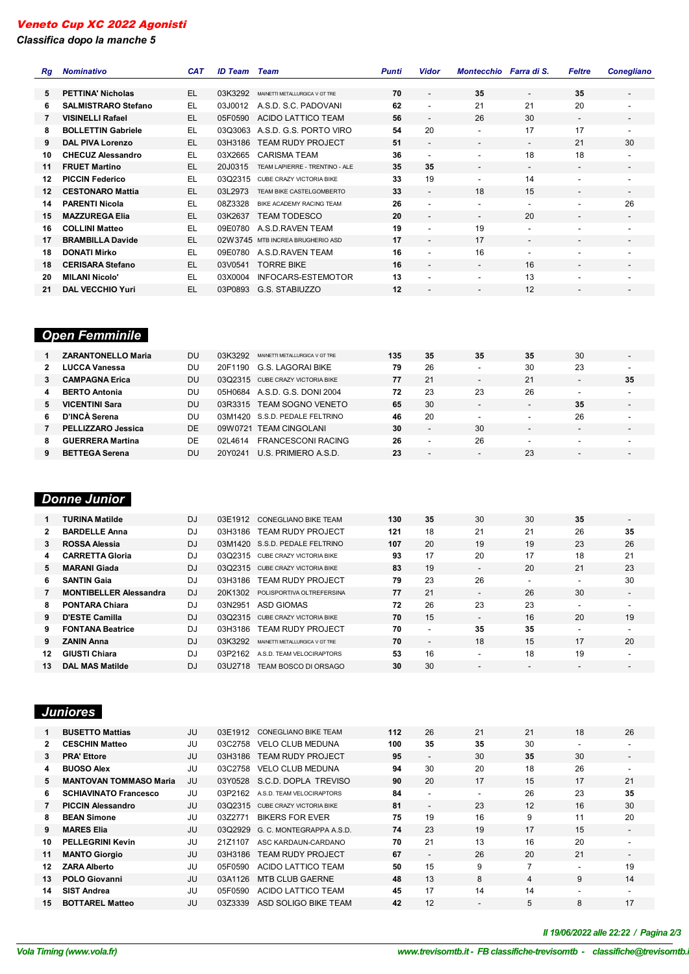*Classifica dopo la manche 5*

| Rq | <b>Nominativo</b>          | <b>CAT</b> | <b>ID Team</b> | Team                             | <b>Punti</b> | <b>Vidor</b>             | Montecchio Farra di S.   |                          | <b>Feltre</b>            | <b>Conegliano</b>            |
|----|----------------------------|------------|----------------|----------------------------------|--------------|--------------------------|--------------------------|--------------------------|--------------------------|------------------------------|
|    |                            |            |                |                                  |              |                          |                          |                          |                          |                              |
| 5  | <b>PETTINA' Nicholas</b>   | EL         | 03K3292        | MAINETTI METALLURGICA V GT TRE   | 70           |                          | 35                       | $\overline{\phantom{a}}$ | 35                       | $\overline{\phantom{a}}$     |
| 6  | <b>SALMISTRARO Stefano</b> | EL.        | 03J0012        | A.S.D. S.C. PADOVANI             | 62           | $\overline{\phantom{a}}$ | 21                       | 21                       | 20                       | $\overline{\phantom{0}}$     |
| 7  | <b>VISINELLI Rafael</b>    | EL         | 05F0590        | <b>ACIDO LATTICO TEAM</b>        | 56           |                          | 26                       | 30                       | $\overline{\phantom{a}}$ | $\overline{\phantom{a}}$     |
| 8  | <b>BOLLETTIN Gabriele</b>  | EL         | 03Q3063        | A.S.D. G.S. PORTO VIRO           | 54           | 20                       | $\overline{\phantom{a}}$ | 17                       | 17                       | $\overline{\phantom{a}}$     |
| 9  | <b>DAL PIVA Lorenzo</b>    | EL         | 03H3186        | <b>TEAM RUDY PROJECT</b>         | 51           | $\overline{\phantom{a}}$ | $\overline{\phantom{a}}$ | $\overline{\phantom{a}}$ | 21                       | 30                           |
| 10 | <b>CHECUZ Alessandro</b>   | EL         | 03X2665        | <b>CARISMA TEAM</b>              | 36           |                          | $\overline{\phantom{a}}$ | 18                       | 18                       | $\overline{\phantom{a}}$     |
| 11 | <b>FRUET Martino</b>       | EL         | 20J0315        | TEAM LAPIERRE - TRENTINO - ALE   | 35           | 35                       | $\overline{\phantom{a}}$ | $\overline{\phantom{a}}$ | $\overline{\phantom{a}}$ | $\overline{\phantom{a}}$     |
| 12 | <b>PICCIN Federico</b>     | EL.        | 03Q2315        | CUBE CRAZY VICTORIA BIKE         | 33           | 19                       | $\overline{\phantom{a}}$ | 14                       | $\overline{\phantom{a}}$ | $\overline{\phantom{0}}$     |
| 12 | <b>CESTONARO Mattia</b>    | EL         | 03L2973        | TEAM BIKE CASTELGOMBERTO         | 33           |                          | 18                       | 15                       | $\overline{\phantom{a}}$ | $\overline{\phantom{a}}$     |
| 14 | <b>PARENTI Nicola</b>      | EL         | 08Z3328        | BIKE ACADEMY RACING TEAM         | 26           |                          | $\overline{\phantom{a}}$ | $\overline{\phantom{a}}$ | $\overline{\phantom{a}}$ | 26                           |
| 15 | <b>MAZZUREGA Elia</b>      | EL         | 03K2637        | TEAM TODESCO                     | 20           | $\overline{\phantom{a}}$ | $\overline{\phantom{a}}$ | 20                       | $\overline{\phantom{a}}$ | $\overline{\phantom{a}}$     |
| 16 | <b>COLLINI Matteo</b>      | EL         | 09E0780        | A.S.D.RAVEN TEAM                 | 19           |                          | 19                       | $\overline{\phantom{a}}$ | $\overline{\phantom{a}}$ | ٠                            |
| 17 | <b>BRAMBILLA Davide</b>    | EL         |                | 02W3745 MTB INCREA BRUGHERIO ASD | 17           |                          | 17                       | $\overline{\phantom{a}}$ | $\overline{\phantom{a}}$ | $\overline{\phantom{a}}$     |
| 18 | <b>DONATI Mirko</b>        | EL         | 09E0780        | A.S.D.RAVEN TEAM                 | 16           |                          | 16                       | $\overline{\phantom{a}}$ | $\overline{\phantom{a}}$ | ۰                            |
| 18 | <b>CERISARA Stefano</b>    | EL         | 03V0541        | <b>TORRE BIKE</b>                | 16           |                          | $\overline{\phantom{a}}$ | 16                       | $\overline{\phantom{a}}$ | $\overline{\phantom{a}}$     |
| 20 | <b>MILANI Nicolo'</b>      | EL         | 03X0004        | <b>INFOCARS-ESTEMOTOR</b>        | 13           |                          | $\overline{\phantom{0}}$ | 13                       | -                        |                              |
| 21 | <b>DAL VECCHIO Yuri</b>    | EL         | 03P0893        | G.S. STABIUZZO                   | 12           |                          |                          | 12                       |                          | $\qquad \qquad \blacksquare$ |

## *Open Femminile*

|    | <b>ZARANTONELLO Maria</b> | DU  | 03K3292  | MAINETTI METALLURGICA V GT TRE   | 135 | 35                       | 35                       | 35                       | 30                       | -                        |
|----|---------------------------|-----|----------|----------------------------------|-----|--------------------------|--------------------------|--------------------------|--------------------------|--------------------------|
|    | LUCCA Vanessa             | DU  | 20F1190  | G.S. LAGORAI BIKE                | 79  | 26                       | $\overline{\phantom{0}}$ | 30                       | 23                       | $\overline{\phantom{a}}$ |
|    | <b>CAMPAGNA Erica</b>     | DU  |          | 03Q2315 CUBE CRAZY VICTORIA BIKE | 77  | 21                       | $\overline{\phantom{0}}$ | 21                       | $\overline{\phantom{a}}$ | 35                       |
|    | <b>BERTO Antonia</b>      | DU. |          | 05H0684 A.S.D. G.S. DONI 2004    | 72  | 23                       | 23                       | 26                       | ۰                        | $\overline{\phantom{a}}$ |
| 5. | <b>VICENTINI Sara</b>     | DU. | 03R3315  | <b>TEAM SOGNO VENETO</b>         | 65  | 30                       | $\overline{\phantom{0}}$ | $\overline{\phantom{0}}$ | 35                       | $\overline{\phantom{a}}$ |
| 6. | D'INCÀ Serena             | DU. |          | 03M1420 S.S.D. PEDALE FELTRINO   | 46  | 20                       | $\overline{\phantom{a}}$ | $\overline{\phantom{0}}$ | 26                       | $\overline{\phantom{a}}$ |
|    | PELLIZZARO Jessica        | DE  | 09W0721  | <b>TEAM CINGOLANI</b>            | 30  | $\overline{\phantom{a}}$ | 30                       |                          | $\overline{\phantom{0}}$ | $\overline{\phantom{0}}$ |
| 8  | <b>GUERRERA Martina</b>   | DF  | 021 4614 | <b>FRANCESCONI RACING</b>        | 26  | -                        | 26                       |                          | ۰                        | $\overline{\phantom{a}}$ |
| 9  | <b>BETTEGA Serena</b>     | DU  | 20Y0241  | U.S. PRIMIERO A.S.D.             | 23  | -                        | $\overline{\phantom{a}}$ | 23                       | $\overline{\phantom{a}}$ | -                        |

# *Donne Junior*

|     | <b>TURINA Matilde</b>         | DJ        | 03E1912 | <b>CONEGLIANO BIKE TEAM</b>      | 130 | 35                       | 30                       | 30 | 35                       | $\overline{\phantom{0}}$ |
|-----|-------------------------------|-----------|---------|----------------------------------|-----|--------------------------|--------------------------|----|--------------------------|--------------------------|
|     | <b>BARDELLE Anna</b>          | DJ        | 03H3186 | <b>TEAM RUDY PROJECT</b>         | 121 | 18                       | 21                       | 21 | 26                       | 35                       |
| 3   | ROSSA Alessia                 | DJ        |         | 03M1420 S.S.D. PEDALE FELTRINO   | 107 | 20                       | 19                       | 19 | 23                       | 26                       |
| 4   | <b>CARRETTA Gloria</b>        | DJ        | 03Q2315 | CUBE CRAZY VICTORIA BIKE         | 93  | 17                       | 20                       | 17 | 18                       | 21                       |
| 5.  | <b>MARANI Giada</b>           | <b>DJ</b> |         | 03Q2315 CUBE CRAZY VICTORIA BIKE | 83  | 19                       | $\overline{\phantom{a}}$ | 20 | 21                       | 23                       |
| 6.  | <b>SANTIN Gaia</b>            | DJ        | 03H3186 | <b>TEAM RUDY PROJECT</b>         | 79  | 23                       | 26                       |    | $\overline{\phantom{a}}$ | 30                       |
|     | <b>MONTIBELLER Alessandra</b> | DJ.       | 20K1302 | POLISPORTIVA OLTREFERSINA        | 77  | 21                       | $\overline{\phantom{a}}$ | 26 | 30                       | $\overline{\phantom{0}}$ |
| 8   | <b>PONTARA Chiara</b>         | DJ        | 03N2951 | ASD GIOMAS                       | 72  | 26                       | 23                       | 23 | $\overline{\phantom{a}}$ | ۰.                       |
| 9.  | <b>D'ESTE Camilla</b>         | DJ        | 03Q2315 | <b>CUBE CRAZY VICTORIA BIKE</b>  | 70  | 15                       | $\overline{\phantom{a}}$ | 16 | 20                       | 19                       |
| 9.  | <b>FONTANA Beatrice</b>       | DJ        | 03H3186 | <b>TEAM RUDY PROJECT</b>         | 70  | ۰                        | 35                       | 35 | $\overline{\phantom{a}}$ | $\sim$                   |
| 9   | <b>ZANIN Anna</b>             | DJ        | 03K3292 | MAINETTI METALLURGICA V GT TRE   | 70  | $\overline{\phantom{a}}$ | 18                       | 15 | 17                       | 20                       |
| 12  | <b>GIUSTI Chiara</b>          | DJ        | 03P2162 | A.S.D. TEAM VELOCIRAPTORS        | 53  | 16                       | ۰.                       | 18 | 19                       | $\overline{\phantom{a}}$ |
| 13. | <b>DAL MAS Matilde</b>        | DJ        | 03U2718 | TEAM BOSCO DI ORSAGO             | 30  | 30                       |                          |    | $\overline{\phantom{0}}$ | -                        |

# *Juniores*

|              | <b>BUSETTO Mattias</b>        | JU | 03E1912 | CONEGLIANO BIKE TEAM             | 112 | 26                       | 21                       | 21             | 18 | 26                       |
|--------------|-------------------------------|----|---------|----------------------------------|-----|--------------------------|--------------------------|----------------|----|--------------------------|
| $\mathbf{2}$ | <b>CESCHIN Matteo</b>         | JU | 03C2758 | <b>VELO CLUB MEDUNA</b>          | 100 | 35                       | 35                       | 30             | ۰  | -                        |
| 3            | <b>PRA' Ettore</b>            | JU | 03H3186 | <b>TEAM RUDY PROJECT</b>         | 95  | $\overline{\phantom{a}}$ | 30                       | 35             | 30 | $\overline{\phantom{0}}$ |
| 4            | <b>BUOSO Alex</b>             | JU | 03C2758 | <b>VELO CLUB MEDUNA</b>          | 94  | 30                       | 20                       | 18             | 26 | -                        |
| 5.           | <b>MANTOVAN TOMMASO Maria</b> | JU | 03Y0528 | S.C.D. DOPLA TREVISO             | 90  | 20                       | 17                       | 15             | 17 | 21                       |
| 6.           | <b>SCHIAVINATO Francesco</b>  | JU | 03P2162 | A.S.D. TEAM VELOCIRAPTORS        | 84  | $\overline{\phantom{a}}$ | $\overline{\phantom{a}}$ | 26             | 23 | 35                       |
|              | <b>PICCIN Alessandro</b>      | JU |         | 03Q2315 CUBE CRAZY VICTORIA BIKE | 81  | $\overline{\phantom{a}}$ | 23                       | 12             | 16 | 30                       |
| 8.           | <b>BEAN Simone</b>            | JU | 03Z2771 | <b>BIKERS FOR EVER</b>           | 75  | 19                       | 16                       | 9              | 11 | 20                       |
| 9            | <b>MARES Elia</b>             | JU |         | 03Q2929 G. C. MONTEGRAPPA A.S.D. | 74  | 23                       | 19                       | 17             | 15 | $\overline{\phantom{a}}$ |
| 10.          | <b>PELLEGRINI Kevin</b>       | JU | 21Z1107 | ASC KARDAUN-CARDANO              | 70  | 21                       | 13                       | 16             | 20 |                          |
| 11           | <b>MANTO Giorgio</b>          | JU |         | 03H3186 TEAM RUDY PROJECT        | 67  | $\overline{\phantom{a}}$ | 26                       | 20             | 21 | $\overline{\phantom{a}}$ |
| 12           | <b>ZARA Alberto</b>           | JU | 05F0590 | ACIDO LATTICO TEAM               | 50  | 15                       | 9                        | $\overline{ }$ | ۰  | 19                       |
| 13           | <b>POLO Giovanni</b>          | JU | 03A1126 | <b>MTB CLUB GAERNE</b>           | 48  | 13                       | 8                        | $\overline{4}$ | 9  | 14                       |
| 14           | <b>SIST Andrea</b>            | JU | 05F0590 | ACIDO LATTICO TEAM               | 45  | 17                       | 14                       | 14             | ۰  |                          |
| 15.          | <b>BOTTAREL Matteo</b>        | JU | 03Z3339 | ASD SOLIGO BIKE TEAM             | 42  | 12                       | $\overline{\phantom{0}}$ | 5              | 8  | 17                       |

# *VolaSoftControlPdf Il 19/06/2022 alle 22:22 / Pagina 2/3*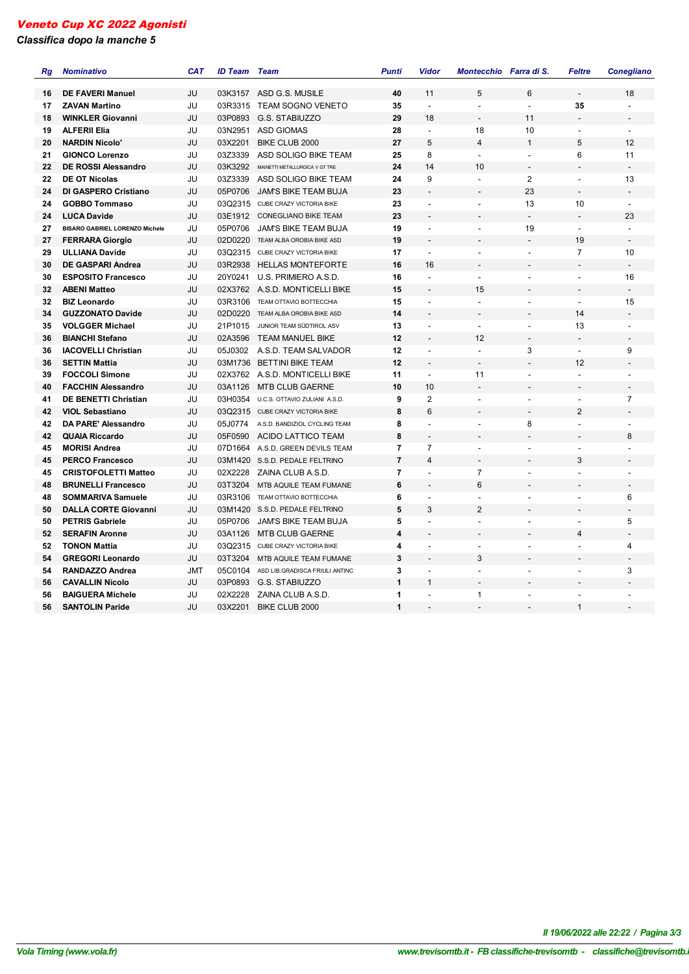*Classifica dopo la manche 5*

| Rg | <b>Nominativo</b>                     | <b>CAT</b> | <b>ID Team</b>     | <b>Team</b>                                | <b>Punti</b>   | Vidor                         | Montecchio Farra di S.   |                                | <b>Feltre</b>            | <b>Conegliano</b>        |
|----|---------------------------------------|------------|--------------------|--------------------------------------------|----------------|-------------------------------|--------------------------|--------------------------------|--------------------------|--------------------------|
|    | <b>DE FAVERI Manuel</b>               | JU         | 03K3157            |                                            | 40             | 11                            | 5                        | 6                              |                          | 18                       |
| 16 |                                       |            |                    | ASD G.S. MUSILE                            |                | $\blacksquare$                |                          |                                | 35                       |                          |
| 17 | <b>ZAVAN Martino</b>                  | JU         | 03R3315<br>03P0893 | <b>TEAM SOGNO VENETO</b><br>G.S. STABIUZZO | 35<br>29       | 18                            | $\blacksquare$           | $\overline{\phantom{a}}$<br>11 |                          |                          |
| 18 | <b>WINKLER Giovanni</b>               | JU         |                    |                                            |                |                               |                          |                                |                          |                          |
| 19 | <b>ALFERII Elia</b>                   | JU         | 03N2951            | <b>ASD GIOMAS</b>                          | 28             | $\overline{\phantom{a}}$<br>5 | 18<br>$\overline{4}$     | 10<br>$\overline{1}$           | $\overline{\phantom{a}}$ | $\blacksquare$           |
| 20 | <b>NARDIN Nicolo'</b>                 | JU         | 03X2201            | BIKE CLUB 2000                             | 27             |                               |                          |                                | 5                        | 12                       |
| 21 | <b>GIONCO Lorenzo</b>                 | JU         | 03Z3339            | ASD SOLIGO BIKE TEAM                       | 25             | 8<br>14                       | $\blacksquare$           | $\blacksquare$                 | 6                        | 11<br>$\overline{a}$     |
| 22 | <b>DE ROSSI Alessandro</b>            | JU         | 03K3292            | MAINETTI METALLURGICA V GT TRE             | 24             |                               | 10                       | $\overline{\phantom{a}}$       |                          |                          |
| 22 | <b>DE OT Nicolas</b>                  | JU         | 03Z3339            | ASD SOLIGO BIKE TEAM                       | 24             | 9                             | $\blacksquare$           | 2                              | $\blacksquare$           | 13                       |
| 24 | <b>DI GASPERO Cristiano</b>           | JU         | 05P0706            | <b>JAM'S BIKE TEAM BUJA</b>                | 23             |                               |                          | 23                             |                          | $\blacksquare$           |
| 24 | <b>GOBBO Tommaso</b>                  | JU         |                    | 03Q2315 CUBE CRAZY VICTORIA BIKE           | 23             | $\overline{a}$                | $\blacksquare$           | 13                             | 10                       | $\blacksquare$           |
| 24 | <b>LUCA Davide</b>                    | JU         | 03E1912            | <b>CONEGLIANO BIKE TEAM</b>                | 23             |                               |                          | $\overline{\phantom{a}}$       | $\overline{\phantom{a}}$ | 23                       |
| 27 | <b>BISARO GABRIEL LORENZO Michele</b> | JU         | 05P0706            | <b>JAM'S BIKE TEAM BUJA</b>                | 19             |                               |                          | 19                             | $\overline{\phantom{a}}$ | $\blacksquare$           |
| 27 | <b>FERRARA Giorgio</b>                | JU         | 02D0220            | TEAM ALBA OROBIA BIKE ASD                  | 19             | $\overline{a}$                |                          |                                | 19                       | $\overline{\phantom{a}}$ |
| 29 | <b>ULLIANA Davide</b>                 | JU         |                    | 03Q2315 CUBE CRAZY VICTORIA BIKE           | 17             | $\blacksquare$                | $\sim$                   | $\sim$                         | $\overline{7}$           | 10                       |
| 30 | <b>DE GASPARI Andrea</b>              | JU         | 03R2938            | <b>HELLAS MONTEFORTE</b>                   | 16             | 16                            |                          |                                |                          | $\overline{\phantom{a}}$ |
| 30 | <b>ESPOSITO Francesco</b>             | JU         | 20Y0241            | U.S. PRIMIERO A.S.D.                       | 16             | $\blacksquare$                | $\blacksquare$           | $\overline{\phantom{a}}$       | $\overline{\phantom{a}}$ | 16                       |
| 32 | <b>ABENI Matteo</b>                   | JU         |                    | 02X3762 A.S.D. MONTICELLI BIKE             | 15             | $\overline{a}$                | 15                       | $\overline{\phantom{a}}$       | $\overline{\phantom{a}}$ | $\blacksquare$           |
| 32 | <b>BIZ Leonardo</b>                   | JU         | 03R3106            | TEAM OTTAVIO BOTTECCHIA                    | 15             |                               | $\blacksquare$           | $\overline{\phantom{a}}$       | $\overline{\phantom{a}}$ | 15                       |
| 34 | <b>GUZZONATO Davide</b>               | JU         | 02D0220            | TEAM ALBA OROBIA BIKE ASD                  | 14             | $\overline{\phantom{0}}$      |                          | $\overline{a}$                 | 14                       |                          |
| 35 | <b>VOLGGER Michael</b>                | JU         | 21P1015            | JUNIOR TEAM SÜDTIROL ASV                   | 13             | $\overline{\phantom{a}}$      | $\overline{\phantom{a}}$ | $\overline{\phantom{a}}$       | 13                       |                          |
| 36 | <b>BIANCHI Stefano</b>                | JU         | 02A3596            | TEAM MANUEL BIKE                           | 12             |                               | 12                       | $\overline{a}$                 |                          | $\overline{\phantom{a}}$ |
| 36 | <b>IACOVELLI Christian</b>            | JU         | 05J0302            | A.S.D. TEAM SALVADOR                       | 12             | $\overline{a}$                | $\blacksquare$           | 3                              | $\blacksquare$           | 9                        |
| 36 | <b>SETTIN Mattia</b>                  | JU         |                    | 03M1736 BETTINI BIKE TEAM                  | 12             |                               | $\blacksquare$           | $\overline{\phantom{a}}$       | 12                       |                          |
| 39 | <b>FOCCOLI Simone</b>                 | JU         | 02X3762            | A.S.D. MONTICELLI BIKE                     | 11             | $\overline{a}$                | 11                       | $\ddot{\phantom{a}}$           | $\overline{a}$           | $\overline{a}$           |
| 40 | <b>FACCHIN Alessandro</b>             | JU         | 03A1126            | <b>MTB CLUB GAERNE</b>                     | 10             | 10                            |                          | $\overline{a}$                 |                          | $\overline{a}$           |
| 41 | <b>DE BENETTI Christian</b>           | JU         | 03H0354            | U.C.S. OTTAVIO ZULIANI A.S.D.              | 9              | $\overline{2}$                | $\overline{\phantom{a}}$ | $\overline{a}$                 | ÷,                       | $\overline{7}$           |
| 42 | <b>VIOL Sebastiano</b>                | JU         |                    | 03Q2315 CUBE CRAZY VICTORIA BIKE           | 8              | 6                             |                          | ÷,                             | 2                        | $\overline{\phantom{m}}$ |
| 42 | DA PARE' Alessandro                   | JU         | 05J0774            | A.S.D. BANDIZIOL CYCLING TEAM              | 8              | $\overline{a}$                | $\blacksquare$           | 8                              | $\overline{\phantom{a}}$ |                          |
| 42 | <b>QUAIA Riccardo</b>                 | JU         | 05F0590            | ACIDO LATTICO TEAM                         | 8              | $\overline{\phantom{a}}$      | $\overline{\phantom{a}}$ | $\overline{\phantom{a}}$       | $\overline{\phantom{a}}$ | 8                        |
| 45 | <b>MORISI Andrea</b>                  | JU         |                    | 07D1664 A.S.D. GREEN DEVILS TEAM           | $\overline{7}$ | $\overline{7}$                | $\blacksquare$           | $\overline{\phantom{a}}$       | $\overline{\phantom{a}}$ |                          |
| 45 | <b>PERCO Francesco</b>                | JU         | 03M1420            | S.S.D. PEDALE FELTRINO                     | $\overline{7}$ | $\overline{4}$                |                          | $\overline{\phantom{a}}$       | 3                        |                          |
| 45 | <b>CRISTOFOLETTI Matteo</b>           | JU         | 02X2228            | ZAINA CLUB A.S.D.                          | $\overline{7}$ | $\overline{a}$                | $\overline{7}$           | $\overline{a}$                 | $\overline{a}$           |                          |
| 48 | <b>BRUNELLI Francesco</b>             | JU         | 03T3204            | MTB AQUILE TEAM FUMANE                     | 6              |                               | 6                        |                                |                          | $\overline{\phantom{m}}$ |
| 48 | <b>SOMMARIVA Samuele</b>              | JU         | 03R3106            | TEAM OTTAVIO BOTTECCHIA                    | 6              | $\overline{\phantom{0}}$      | $\overline{\phantom{a}}$ | $\overline{a}$                 | $\blacksquare$           | 6                        |
| 50 | <b>DALLA CORTE Giovanni</b>           | JU         |                    | 03M1420 S.S.D. PEDALE FELTRINO             | 5              | 3                             | $\overline{2}$           | $\overline{\phantom{a}}$       | $\overline{\phantom{a}}$ |                          |
| 50 | <b>PETRIS Gabriele</b>                | JU         | 05P0706            | JAM'S BIKE TEAM BUJA                       | 5              | $\overline{a}$                | $\blacksquare$           | $\overline{\phantom{a}}$       | $\blacksquare$           | 5                        |
| 52 | <b>SERAFIN Aronne</b>                 | JU         | 03A1126            | <b>MTB CLUB GAERNE</b>                     | 4              |                               |                          | $\overline{\phantom{a}}$       | 4                        | $\overline{a}$           |
| 52 | <b>TONON Mattia</b>                   | JU         | 03Q2315            | CUBE CRAZY VICTORIA BIKE                   | 4              | $\overline{a}$                |                          | L.                             | $\overline{a}$           | 4                        |
| 54 | <b>GREGORI Leonardo</b>               | JU         | 03T3204            | MTB AQUILE TEAM FUMANE                     | 3              |                               | 3                        |                                |                          | $\overline{\phantom{a}}$ |
| 54 | RANDAZZO Andrea                       | <b>JMT</b> | 05C0104            | ASD LIB.GRADISCA FRIULI ANTINC             | 3              | $\overline{a}$                | $\blacksquare$           | $\overline{a}$                 | $\overline{\phantom{a}}$ | 3                        |
| 56 | <b>CAVALLIN Nicolo</b>                | JU         | 03P0893            | G.S. STABIUZZO                             | $\mathbf{1}$   | $\mathbf{1}$                  |                          |                                |                          |                          |
| 56 | <b>BAIGUERA Michele</b>               | JU         | 02X2228            | ZAINA CLUB A.S.D.                          | 1              | $\overline{a}$                | $\mathbf{1}$             | $\blacksquare$                 |                          |                          |
| 56 | <b>SANTOLIN Paride</b>                | JU         | 03X2201            | BIKE CLUB 2000                             | 1              |                               |                          |                                | $\mathbf{1}$             |                          |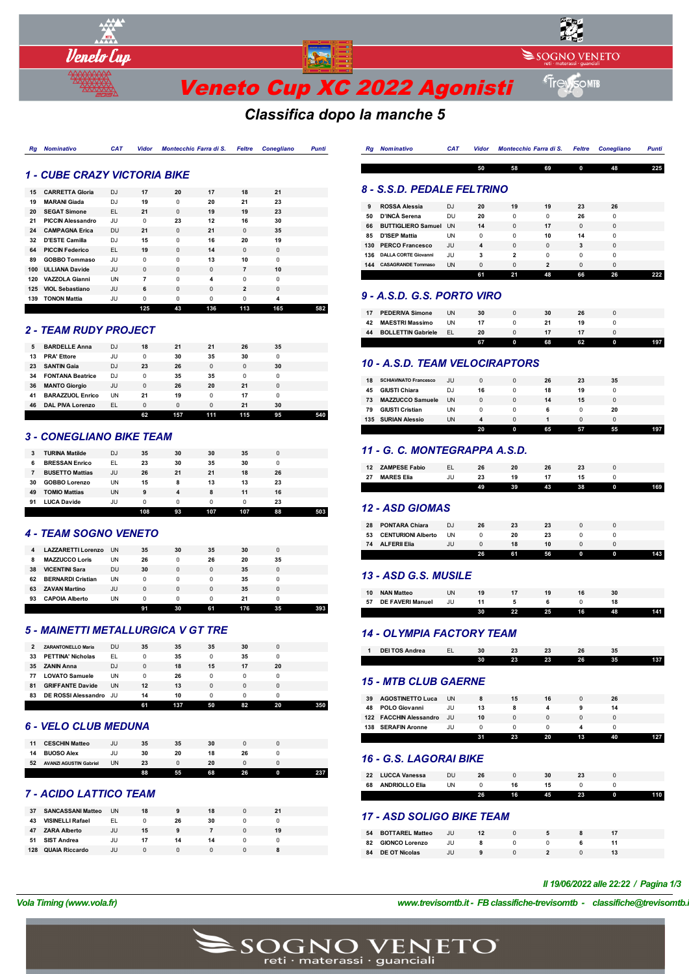

# *Classifica dopo la manche 5*

| <b>Rg</b> Nominativo | <b>CAT</b> | Vidor Montecchio Farra di S. Feltre Conegliano |  | Punti |
|----------------------|------------|------------------------------------------------|--|-------|
|                      |            |                                                |  |       |

### *1 - CUBE CRAZY VICTORIA BIKE*

| 15  | <b>CARRETTA Gloria</b>   | D <sub>J</sub> | 17       | 20       | 17       | 18             | 21       |     |
|-----|--------------------------|----------------|----------|----------|----------|----------------|----------|-----|
|     |                          |                |          |          |          |                |          |     |
| 19  | <b>MARANI Giada</b>      | DJ             | 19       | $\Omega$ | 20       | 21             | 23       |     |
| 20  | <b>SEGAT Simone</b>      | EL.            | 21       | $\Omega$ | 19       | 19             | 23       |     |
| 21  | <b>PICCIN Alessandro</b> | JU             | $\Omega$ | 23       | 12       | 16             | 30       |     |
| 24  | <b>CAMPAGNA Erica</b>    | DU             | 21       | $\Omega$ | 21       | $\Omega$       | 35       |     |
| 32  | <b>D'ESTE Camilla</b>    | DJ             | 15       | $\Omega$ | 16       | 20             | 19       |     |
| 64  | <b>PICCIN Federico</b>   | EL.            | 19       | $\Omega$ | 14       | $\Omega$       | $\Omega$ |     |
| 89  | <b>GOBBO Tommaso</b>     | JU.            | $\Omega$ | $\Omega$ | 13       | 10             | $\Omega$ |     |
| 100 | <b>ULLIANA Davide</b>    | JU             | $\Omega$ | $\Omega$ | $\Omega$ | $\overline{7}$ | 10       |     |
| 120 | <b>VAZZOLA Gianni</b>    | <b>UN</b>      | 7        | $\Omega$ | 4        | $\Omega$       | $\Omega$ |     |
| 125 | <b>VIOL Sebastiano</b>   | JU             | 6        | $\Omega$ | $\Omega$ | $\overline{2}$ | $\Omega$ |     |
| 139 | <b>TONON Mattia</b>      | JU             | $\Omega$ | $\Omega$ | $\Omega$ | $\Omega$       | 4        |     |
|     |                          |                | 125      | 43       | 136      | 113            | 165      | 582 |

#### *2 - TEAM RUDY PROJECT*

| 5  | <b>BARDELLE Anna</b>    | DJ.       | 18       | 21       | 21       | 26  | 35 |     |
|----|-------------------------|-----------|----------|----------|----------|-----|----|-----|
| 13 | <b>PRA' Ettore</b>      | JU        | 0        | 30       | 35       | 30  | 0  |     |
| 23 | <b>SANTIN Gaia</b>      | DJ        | 23       | 26       | 0        | 0   | 30 |     |
| 34 | <b>FONTANA Beatrice</b> | DJ        | 0        | 35       | 35       | 0   | 0  |     |
| 36 | <b>MANTO Giorgio</b>    | JU        | 0        | 26       | 20       | 21  | 0  |     |
| 41 | <b>BARAZZUOL Enrico</b> | <b>UN</b> | 21       | 19       | 0        | 17  | 0  |     |
| 46 | <b>DAL PIVA Lorenzo</b> | EL.       | $\Omega$ | $\Omega$ | $\Omega$ | 21  | 30 |     |
|    |                         |           | 62       | 157      | 111      | 115 | 95 | 540 |

### *3 - CONEGLIANO BIKE TEAM*

|    |                        |     | 108 | 93 | 107 | 107 | 88 | 503 |
|----|------------------------|-----|-----|----|-----|-----|----|-----|
| 91 | <b>LUCA Davide</b>     | JU  | 0   | 0  | 0   | 0   | 23 |     |
| 49 | <b>TOMIO Mattias</b>   | UN  | 9   | 4  | 8   | 11  | 16 |     |
| 30 | <b>GOBBO Lorenzo</b>   | UN  | 15  | 8  | 13  | 13  | 23 |     |
|    | <b>BUSETTO Mattias</b> | JU. | 26  | 21 | 21  | 18  | 26 |     |
| 6  | <b>BRESSAN Enrico</b>  | EL  | 23  | 30 | 35  | 30  | 0  |     |
| 3  | <b>TURINA Matilde</b>  | DJ  | 35  | 30 | 30  | 35  | 0  |     |

#### *4 - TEAM SOGNO VENETO*

| 4  | LAZZARETTI Lorenzo       | <b>UN</b> | 35       | 30       | 35 | 30  |    |  |
|----|--------------------------|-----------|----------|----------|----|-----|----|--|
| 8  | <b>MAZZUCCO Loris</b>    | UN        | 26       | 0        | 26 | 20  | 35 |  |
| 38 | <b>VICENTINI Sara</b>    | <b>DU</b> | 30       | $\Omega$ | 0  | 35  | 0  |  |
| 62 | <b>BERNARDI Cristian</b> | <b>UN</b> | 0        | 0        | 0  | 35  |    |  |
| 63 | <b>ZAVAN Martino</b>     | JU.       | $\Omega$ | $\Omega$ | 0  | 35  | 0  |  |
| 93 | <b>CAPOIA Alberto</b>    | UN        | 0        | 0        | 0  | 21  |    |  |
|    |                          |           |          | 30       | 61 | 176 | 35 |  |

## *5 - MAINETTI METALLURGICA V GT TRE*

| 2  | <b>ZARANTONELLO Maria</b> | DU        | 35       | 35  | 35       | 30 | 0  |  |
|----|---------------------------|-----------|----------|-----|----------|----|----|--|
| 33 | <b>PETTINA' Nicholas</b>  | EL.       | 0        | 35  | 0        | 35 |    |  |
| 35 | <b>ZANIN Anna</b>         | DJ        | $\Omega$ | 18  | 15       | 17 | 20 |  |
| 77 | <b>LOVATO Samuele</b>     | <b>UN</b> | 0        | 26  | $\Omega$ | 0  | 0  |  |
| 81 | <b>GRIFFANTE Davide</b>   | <b>UN</b> | 12       | 13  | $\Omega$ | 0  | 0  |  |
| 83 | DE ROSSI Alessandro JU    |           | 14       | 10  | 0        | 0  |    |  |
|    |                           |           | 61       | 137 | 50       | 82 | 20 |  |

#### *6 - VELO CLUB MEDUNA*

|    |                               |    | 88 | 55 | 68 | 26 |  |
|----|-------------------------------|----|----|----|----|----|--|
| 52 | <b>AVANZI AGUSTIN Gabriel</b> | UN | 23 |    | 20 |    |  |
| 14 | <b>BUOSO Alex</b>             |    | 30 | 20 |    | 26 |  |
| 11 | <b>CESCHIN Matteo</b>         | JU | 35 | 35 | 30 |    |  |

## *7 - ACIDO LATTICO TEAM*

| 37  | <b>SANCASSANI Matteo</b> | <b>UN</b> | 18 | 9  | 18       | 21 |  |
|-----|--------------------------|-----------|----|----|----------|----|--|
| 43  | <b>VISINELLI Rafael</b>  | EL.       |    | 26 | 30       |    |  |
| 47  | <b>ZARA Alberto</b>      | JU        | 15 | 9  |          | 19 |  |
| 51  | <b>SIST Andrea</b>       | JU        | 17 | 14 | 14       |    |  |
| 128 | <b>QUAIA Riccardo</b>    | JU        | 0  | 0  | $\Omega$ |    |  |

| Ra | Nominativo | <b>CAT</b> |    |    |    |              | Vidor Montecchio Farra di S. Feltre Conegliano | <b>Punti</b> |
|----|------------|------------|----|----|----|--------------|------------------------------------------------|--------------|
|    |            |            | 50 | 58 | 69 | $\mathbf{o}$ | -48                                            | 225          |

## *8 - S.S.D. PEDALE FELTRINO*

| 9   | <b>ROSSA Alessia</b>         | DJ        | 20       | 19       | 19             | 23       | 26       |  |
|-----|------------------------------|-----------|----------|----------|----------------|----------|----------|--|
| 50  | D'INCÀ Serena                | DU        | 20       | $\Omega$ | 0              | 26       | 0        |  |
| 66  | <b>BUTTIGLIERO Samuel UN</b> |           | 14       | $\Omega$ | 17             | $\Omega$ | $\Omega$ |  |
| 85  | <b>D'ISEP Mattia</b>         | <b>UN</b> | 0        | $\Omega$ | 10             | 14       | 0        |  |
|     | 130 PERCO Francesco          | JU        | 4        | $\Omega$ | $\Omega$       | 3        | $\Omega$ |  |
| 136 | <b>DALLA CORTE Giovanni</b>  | JU        | 3        | 2        | 0              | $\Omega$ | 0        |  |
| 144 | <b>CASAGRANDE Tommaso</b>    | <b>UN</b> | $\Omega$ | $\Omega$ | $\overline{2}$ | $\Omega$ | $\Omega$ |  |
|     |                              |           | 61       | 21       | 48             | 66       | 26       |  |

#### *9 - A.S.D. G.S. PORTO VIRO*

| 17 | <b>PEDERIVA Simone</b>    | UN        | 30 | 30 | 26 |      |
|----|---------------------------|-----------|----|----|----|------|
| 42 | <b>MAESTRI Massimo</b>    | <b>UN</b> |    |    | 19 |      |
| 44 | <b>BOLLETTIN Gabriele</b> | EI        | 20 |    |    |      |
|    |                           |           | 67 | 68 | 62 | 197. |

#### *10 - A.S.D. TEAM VELOCIRAPTORS*

| 73<br>79 | <b>MAZZUCCO Samuele</b><br><b>GIUSTI Cristian</b> | <b>UN</b><br>UN | 0<br>0 | $\Omega$<br>0 | 14<br>ĥ | 15 | 20 |  |
|----------|---------------------------------------------------|-----------------|--------|---------------|---------|----|----|--|
| 45       | <b>GIUSTI Chiara</b>                              | DJ              | 16     | 0             | 18      | 19 |    |  |
| 18       | <b>SCHIAVINATO Francesco</b>                      | JU              | 0      | $\Omega$      | 26      | 23 | 35 |  |

## *11 - G. C. MONTEGRAPPA A.S.D.*

| 12 | <b>ZAMPESE Fabio</b> |    | 20 | 26 |    |   |     |
|----|----------------------|----|----|----|----|---|-----|
| 27 | <b>MARES Elia</b>    |    |    |    |    |   |     |
|    |                      | 49 | 39 | 43 | 38 | 0 | 169 |

### *12 - ASD GIOMAS*

|    |                           |    | 26 | 61 | 56 |  | 143 |
|----|---------------------------|----|----|----|----|--|-----|
|    | 74 ALFERII Elia           | JU |    | 18 | 10 |  |     |
| 53 | <b>CENTURIONI Alberto</b> | UN |    | 20 | 23 |  |     |
| 28 | <b>PONTARA Chiara</b>     | DJ | 26 | 23 | 23 |  |     |
|    |                           |    |    |    |    |  |     |

## *13 - ASD G.S. MUSILE*

| 10 | <b>NAN Matteo</b>       | JN |    |    |    |    | 30 |     |
|----|-------------------------|----|----|----|----|----|----|-----|
| 57 | <b>DE FAVERI Manuel</b> | JU |    |    |    |    |    |     |
|    |                         |    | 30 | 22 | 25 | 16 | 48 | 141 |

### *14 - OLYMPIA FACTORY TEAM*

| <b>DEI TOS Andrea</b> | ડા |    |    |    | ວະ |     |
|-----------------------|----|----|----|----|----|-----|
|                       | 30 | 23 | 23 | 26 | 35 | 137 |

# *15 - MTB CLUB GAERNE*

| 39  | <b>AGOSTINETTO Luca</b> | <b>UN</b> |    | 15 | 16 |    | 26 |  |
|-----|-------------------------|-----------|----|----|----|----|----|--|
| 48  | <b>POLO Giovanni</b>    | JU        | 13 |    |    |    |    |  |
|     | 122 FACCHIN Alessandro  | .JU       | 10 |    |    |    |    |  |
| 138 | <b>SERAFIN Aronne</b>   | JU        |    |    |    |    |    |  |
|     |                         |           | 31 | 23 | 20 | 13 | 40 |  |

### *16 - G.S. LAGORAI BIKE*

|    |                       |    | 26 | 16 | 45 | 23 |  |
|----|-----------------------|----|----|----|----|----|--|
| 68 | <b>ANDRIOLLO Elia</b> | JΝ |    |    |    |    |  |
| 22 | <b>LUCCA Vanessa</b>  | DU |    |    |    |    |  |
|    |                       |    |    |    |    |    |  |

### *17 - ASD SOLIGO BIKE TEAM*

| 54 | <b>BOTTAREL Matteo</b> | JU |  |  |  |
|----|------------------------|----|--|--|--|
| 82 | <b>GIONCO Lorenzo</b>  |    |  |  |  |
| 84 | <b>DE OT Nicolas</b>   |    |  |  |  |

#### *Il 19/06/2022 alle 22:22 / Pagina 1/3*

*VolaSoftControlPdf*

*Vola Timing (www.vola.fr) www.trevisomtb.it - FB classifiche-trevisomtb - classifiche@trevisomtb.it*

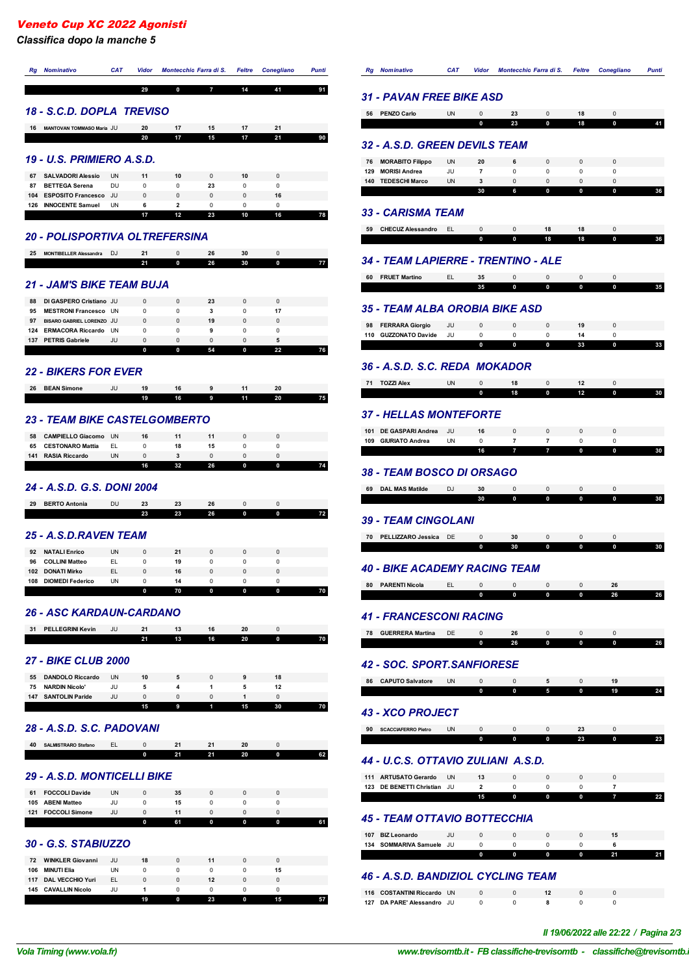*Classifica dopo la manche 5*

| <b>Nominativo</b><br>Rg                                               | <b>CAT</b>      | Vidor            |                         | Montecchio Farra di S. | <b>Feltre</b>     | <b>Conegliano</b> | <b>Punti</b> |
|-----------------------------------------------------------------------|-----------------|------------------|-------------------------|------------------------|-------------------|-------------------|--------------|
|                                                                       |                 | 29               | 0                       | 7                      | 14                | 41                | 91           |
| 18 - S.C.D. DOPLA TREVISO                                             |                 |                  |                         |                        |                   |                   |              |
| 16                                                                    |                 | 20               |                         | 15                     |                   | 21                |              |
| MANTOVAN TOMMASO Maria JU                                             |                 | 20               | 17<br>17                | 15                     | 17<br>17          | 21                | 90           |
|                                                                       |                 |                  |                         |                        |                   |                   |              |
| <b>19 - U.S. PRIMIERO A.S.D.</b>                                      |                 |                  |                         |                        |                   |                   |              |
| 67<br><b>SALVADORI Alessio</b>                                        | <b>UN</b>       | 11               | 10                      | $\mathbf 0$            | 10                | $\mathbf 0$       |              |
| 87<br><b>BETTEGA Serena</b><br>104<br><b>ESPOSITO Francesco</b>       | DU<br>JU        | 0<br>0           | 0<br>0                  | 23<br>0                | 0<br>$\mathbf 0$  | 0<br>16           |              |
| 126<br><b>INNOCENTE Samuel</b>                                        | <b>UN</b>       | 6                | $\overline{\mathbf{2}}$ | 0                      | 0                 | 0                 |              |
|                                                                       |                 | 17               | 12                      | 23                     | 10                | 16                | 78           |
| 20 - POLISPORTIVA OLTREFERSINA                                        |                 |                  |                         |                        |                   |                   |              |
| 25<br><b>MONTIBELLER Alessandra</b>                                   | DJ              | 21               | 0                       | 26                     | 30                | $\mathbf 0$       |              |
|                                                                       |                 | 21               | 0                       | 26                     | 30                | $\bf{0}$          | 77           |
|                                                                       |                 |                  |                         |                        |                   |                   |              |
| <b>21 - JAM'S BIKE TEAM BUJA</b>                                      |                 |                  |                         |                        |                   |                   |              |
| DI GASPERO Cristiano JU<br>88                                         |                 | $\mathbf 0$      | $\pmb{0}$               | 23                     | $\mathbf 0$       | $\mathbf 0$       |              |
| 95<br><b>MESTRONI Francesco UN</b><br>97<br>BISARO GABRIEL LORENZO JU |                 | 0<br>0           | 0<br>0                  | 3<br>19                | 0<br>0            | 17<br>0           |              |
| <b>ERMACORA Riccardo</b><br>124                                       | UN              | 0                | 0                       | 9                      | 0                 | 0                 |              |
| 137<br><b>PETRIS Gabriele</b>                                         | JU              | $\mathbf 0$      | 0                       | 0                      | $\mathbf 0$       | 5                 |              |
|                                                                       |                 | 0                | 0                       | 54                     | 0                 | 22                | 76           |
| <b>22 - BIKERS FOR EVER</b>                                           |                 |                  |                         |                        |                   |                   |              |
| <b>BEAN Simone</b><br>26                                              | JU              | 19               | 16                      | 9                      | 11                | 20                |              |
|                                                                       |                 | 19               | 16                      | 9                      | 11                | 20                | 75           |
| <b>23 - TEAM BIKE CASTELGOMBERTO</b>                                  |                 |                  |                         |                        |                   |                   |              |
| 58<br><b>CAMPIELLO Giacomo</b><br>65<br><b>CESTONARO Mattia</b>       | <b>UN</b><br>EL | 16<br>0          | 11<br>18                | 11<br>15               | $\mathbf 0$<br>0  | $\mathbf 0$<br>0  |              |
| 141<br><b>RASIA Riccardo</b>                                          | UN              | 0                | 3                       | 0                      | 0                 | $\mathbf 0$       |              |
|                                                                       |                 | 16               | 32                      | 26                     | 0                 | 0                 | 74           |
| 24 - A.S.D. G.S. DONI 2004                                            |                 |                  |                         |                        |                   |                   |              |
| 29<br><b>BERTO Antonia</b>                                            | <b>DU</b>       | 23               | 23                      | 26                     | $\mathbf 0$       | $\mathbf 0$       |              |
|                                                                       |                 | 23               | 23                      | 26                     | 0                 | 0                 | 72           |
|                                                                       |                 |                  |                         |                        |                   |                   |              |
| 25 - A.S.D.RAVEN TEAM                                                 |                 |                  |                         |                        |                   |                   |              |
| 92<br><b>NATALI Enrico</b>                                            | UN              | $\mathbf 0$      | 21                      | 0                      | $\mathbf 0$       | 0                 |              |
| 96<br><b>COLLINI Matteo</b>                                           | EL.             | 0                | 19                      | 0                      | 0                 | 0                 |              |
| 102<br><b>DONATI Mirko</b><br>108<br><b>DIOMEDI Federico</b>          | EL<br>UN        | $\mathbf 0$<br>0 | 16<br>14                | $\mathbf 0$<br>0       | $\mathbf 0$<br>0  | $\mathbf 0$<br>0  |              |
|                                                                       |                 | 0                | 70                      | 0                      | 0                 | 0                 | 70           |
| <b>26 - ASC KARDAUN-CARDANO</b>                                       |                 |                  |                         |                        |                   |                   |              |
| 31<br><b>PELLEGRINI Kevin</b>                                         | JU              | 21               | 13                      | 16                     | 20                | $\pmb{0}$         |              |
|                                                                       |                 | 21               | 13                      | 16                     | 20                | 0                 | 70           |
| <b>27 - BIKE CLUB 2000</b>                                            |                 |                  |                         |                        |                   |                   |              |
| 55<br><b>DANDOLO Riccardo</b>                                         | <b>UN</b>       | 10               | 5                       | 0                      | 9                 | 18                |              |
| 75<br><b>NARDIN Nicolo'</b><br>147<br><b>SANTOLIN Paride</b>          | JU<br>JU        | 5<br>0           | 4<br>$\pmb{0}$          | 1<br>0                 | 5<br>$\mathbf{1}$ | 12<br>$\mathbf 0$ |              |
|                                                                       |                 | 15               | 9                       | 1                      | 15                | 30                | 70           |
| 28 - A.S.D. S.C. PADOVANI                                             |                 |                  |                         |                        |                   |                   |              |
| 40<br>SALMISTRARO Stefano                                             | EL.             | 0                | 21                      | 21                     | 20                | $\mathbf 0$       |              |
|                                                                       |                 | 0                | 21                      | 21                     | 20                | 0                 | 62           |

#### *29 - A.S.D. MONTICELLI BIKE*

|     |                       |    | 61 |  |  |
|-----|-----------------------|----|----|--|--|
| 121 | <b>FOCCOLI Simone</b> | JU |    |  |  |
| 105 | <b>ABENI Matteo</b>   | JU | 15 |  |  |
| 61  | <b>FOCCOLI Davide</b> | UN | 35 |  |  |
|     |                       |    |    |  |  |

## *30 - G.S. STABIUZZO*

|                                |     | 19       | 0            | 23 | 0 | 15 |  |
|--------------------------------|-----|----------|--------------|----|---|----|--|
| <b>CAVALLIN Nicolo</b><br>145  | JU  |          | <sup>n</sup> |    |   |    |  |
| <b>DAL VECCHIO Yuri</b><br>117 | EL. | $\Omega$ | $\Omega$     | 12 |   |    |  |
| <b>MINUTI Elia</b><br>106      | UN  | $\Omega$ | $\Omega$     | 0  |   | 15 |  |
| <b>WINKLER Giovanni</b><br>72  | JU  | 18       | $\Omega$     | 11 |   |    |  |
|                                |     |          |              |    |   |    |  |

|     | <b>Rg</b> Nominativo | <b>CAT</b> | Vidor Montecchio Farra di S. Feltre Conegliano |  | <b>Punti</b> |  |
|-----|----------------------|------------|------------------------------------------------|--|--------------|--|
|     |                      |            |                                                |  |              |  |
| . . |                      |            |                                                |  |              |  |

## *31 - PAVAN FREE BIKE ASD*

| <b>PENZO Carlo</b><br>56                                 | <b>UN</b>       | 0        | 23               | 0                | 18               | $\Omega$               |  |
|----------------------------------------------------------|-----------------|----------|------------------|------------------|------------------|------------------------|--|
|                                                          |                 | 0        | 23               | 0                | 18               | 0                      |  |
| 32 - A.S.D. GREEN DEVILS TEAM                            |                 |          |                  |                  |                  |                        |  |
| 76<br><b>MORABITO Filippo</b>                            | <b>UN</b>       | 20       | 6                | 0                | 0                | $\pmb{0}$              |  |
| 129 MORISI Andrea                                        | JU              | 7        | 0                | 0                | 0                | 0                      |  |
| 140<br><b>TEDESCHI Marco</b>                             | <b>UN</b>       | 3<br>30  | $\mathbf 0$<br>6 | $\mathbf 0$<br>0 | $\mathbf 0$<br>0 | $\mathbf 0$<br>0       |  |
|                                                          |                 |          |                  |                  |                  |                        |  |
| 33 - CARISMA TEAM                                        |                 |          |                  |                  |                  |                        |  |
| 59<br><b>CHECUZ Alessandro</b>                           | EL              | 0<br>0   | 0<br>0           | 18<br>18         | 18<br>18         | 0<br>0                 |  |
|                                                          |                 |          |                  |                  |                  |                        |  |
| 34 - TEAM LAPIERRE - TRENTINO - ALE                      |                 |          |                  |                  |                  |                        |  |
| 60<br><b>FRUET Martino</b>                               | EL.             | 35<br>35 | 0<br>0           | 0<br>0           | 0<br>$\mathbf 0$ | $\pmb{0}$<br>0         |  |
|                                                          |                 |          |                  |                  |                  |                        |  |
| <b>35 - TEAM ALBA OROBIA BIKE ASD</b>                    |                 |          |                  |                  |                  |                        |  |
| 98<br><b>FERRARA Giorgio</b><br>110 GUZZONATO Davide     | JU<br>JU        | 0<br>0   | $\mathbf 0$<br>0 | 0<br>0           | 19<br>14         | $\pmb{0}$<br>0         |  |
|                                                          |                 | 0        | 0                | 0                | 33               | 0                      |  |
| 36 - A.S.D. S.C. REDA MOKADOR                            |                 |          |                  |                  |                  |                        |  |
| 71<br><b>TOZZI Alex</b>                                  | <b>UN</b>       | 0        | 18               | 0                | 12               | 0                      |  |
|                                                          |                 | 0        | 18               | 0                | 12               | 0                      |  |
| <b>37 - HELLAS MONTEFORTE</b>                            |                 |          |                  |                  |                  |                        |  |
| 101<br>DE GASPARI Andrea                                 | JU              | 16       | 0                | 0                | 0                | $\pmb{0}$              |  |
| 109<br><b>GIURIATO Andrea</b>                            | UN              | 0<br>16  | 7<br>7           | 7                | 0                | 0<br>0                 |  |
| 69<br><b>DAL MAS Matilde</b>                             | <b>DJ</b>       | 30<br>30 | 0<br>0           | 0<br>0           | 0<br>0           | 0<br>0                 |  |
| <b>39 - TEAM CINGOLANI</b>                               |                 |          |                  |                  |                  |                        |  |
| <b>PELLIZZARO Jessica</b><br>70                          | DE              | 0        | 30               | 0                | 0                | $\Omega$               |  |
|                                                          |                 | 0        | 30               | 0                | 0                | 0                      |  |
| <b>40 - BIKE ACADEMY RACING TEAM</b>                     |                 |          |                  |                  |                  |                        |  |
| 80<br><b>PARENTI Nicola</b>                              | EL.             | 0        | 0                | 0                | 0                | 26                     |  |
|                                                          |                 | 0        | 0                | 0                | 0                | 26                     |  |
| <b>41 - FRANCESCONI RACING</b>                           |                 |          |                  |                  |                  |                        |  |
| 78<br><b>GUERRERA Martina</b>                            | DE              | 0        | 26               | 0                | 0                | 0                      |  |
|                                                          |                 | 0        | 26               | 0                | 0                | 0                      |  |
| <b>42 - SOC. SPORT.SANFIORESE</b>                        |                 |          |                  |                  |                  |                        |  |
| <b>CAPUTO Salvatore</b><br>86                            | <b>UN</b>       | 0<br>0   | 0<br>0           | 5<br>5           | 0<br>0           | 19<br>19               |  |
|                                                          |                 |          |                  |                  |                  |                        |  |
| 43 - XCO PROJECT                                         |                 |          |                  |                  |                  |                        |  |
| 90<br><b>SCACCIAFERRO Pietro</b>                         | <b>UN</b>       | 0<br>0   | 0<br>0           | 0<br>0           | 23<br>23         | $\mathbf 0$<br>0       |  |
|                                                          |                 |          |                  |                  |                  |                        |  |
| 44 - U.C.S. OTTAVIO ZULIANI A.S.D.                       |                 |          |                  |                  |                  |                        |  |
| 111 ARTUSATO Gerardo<br>123 DE BENETTI Christian         | <b>UN</b><br>JU | 13<br>2  | 0<br>0           | 0<br>0           | 0<br>0           | $\pmb{0}$<br>7         |  |
|                                                          |                 | 15       | 0                | 0                | 0                | 7                      |  |
| 45 - TEAM OTTAVIO BOTTECCHIA                             |                 |          |                  |                  |                  |                        |  |
| 107 BIZ Leonardo                                         | JU              | 0        | $\pmb{0}$        | $\mathbf 0$      | 0                | 15                     |  |
| 134 SOMMARIVA Samuele JU                                 |                 | 0        | 0                | 0                | 0                | 6                      |  |
|                                                          |                 |          |                  |                  |                  |                        |  |
|                                                          |                 | 0        | 0                | 0                | 0                | 21                     |  |
| <b>46 - A.S.D. BANDIZIOL CYCLING TEAM</b>                |                 |          |                  |                  |                  |                        |  |
| 116 COSTANTINI Riccardo UN<br>127 DA PARE' Alessandro JU |                 | 0<br>0   | $\mathbf 0$<br>0 | 12<br>8          | 0<br>0           | $\pmb{0}$<br>$\pmb{0}$ |  |